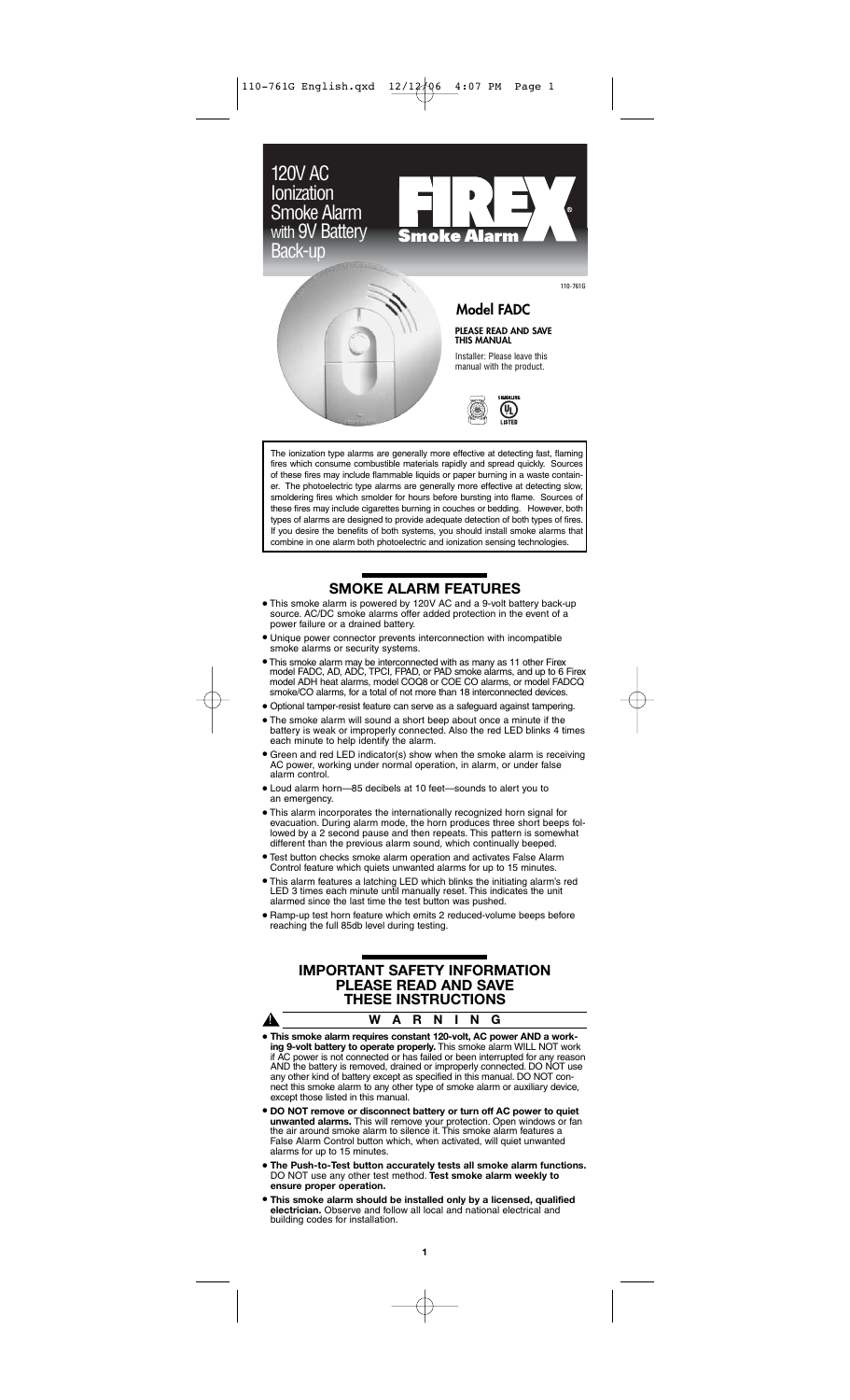

The ionization type alarms are generally more effective at detecting fast, flaming fires which consume combustible materials rapidly and spread quickly. Sources of these fires may include flammable liquids or paper burning in a waste container. The photoelectric type alarms are generally more effective at detecting slow, smoldering fires which smolder for hours before bursting into flame. Sources of these fires may include cigarettes burning in couches or bedding. However, both types of alarms are designed to provide adequate detection of both types of fires. If you desire the benefits of both systems, you should install smoke alarms that combine in one alarm both photoelectric and ionization sensing technologies.

# **SMOKE ALARM FEATURES**

- This smoke alarm is powered by 120V AC and a 9-volt battery back-up source. AC/DC smoke alarms offer added protection in the event of a power failure or a drained battery.
- Unique power connector prevents interconnection with incompatible smoke alarms or security systems.
- This smoke alarm may be interconnected with as many as 11 other Firex model FADC, AD, ADC, TPCI, FPAD, or PAD smoke alarms, and up to 6 Firex model ADH heat alarms, model COQ8 or COE CO alarms, or model FADCQ smoke/CO alarms, for a total of not more than 18 interconnected devices.
- Optional tamper-resist feature can serve as a safeguard against tampering.
- The smoke alarm will sound a short beep about once a minute if the battery is weak or improperly connected. Also the red LED blinks 4 times each minute to help identify the alarm.
- Green and red LED indicator(s) show when the smoke alarm is receiving working under normal operation, in alarm, or under false AC power, wo<br>alarm control.
- Loud alarm horn—85 decibels at 10 feet—sounds to alert you to an emergency.
- This alarm incorporates the internationally recognized horn signal for evacuation. During alarm mode, the horn produces three short beeps fol-lowed by a 2 second pause and then repeats. This pattern is somewhat different than the previous alarm sound, which continually beeped.
- Test button checks smoke alarm operation and activates False Alarm Control feature which quiets unwanted alarms for up to 15 minutes.
- This alarm features a latching LED which blinks the initiating alarm's red LED 3 times each minute until manually reset. This indicates the unit alarmed since the last time the test button was pushed.
- Ramp-up test horn feature which emits 2 reduced-volume beeps before reaching the full 85db level during testing.

# **IMPORTANT SAFETY INFORMATION PLEASE READ AND SAVE THESE INSTRUCTIONS**

| ₳ |                                                                                                                                                                                                 | W A R N I N G |  |  |  |
|---|-------------------------------------------------------------------------------------------------------------------------------------------------------------------------------------------------|---------------|--|--|--|
|   | • This smoke alarm requires constant 120-volt, AC power AND a work-<br>ing 9-volt battery to operate properly. This smoke alarm WILL NOT work                                                   |               |  |  |  |
|   | if AC power is not connected or has failed or been interrupted for any reason<br>AND the battery is removed, drained or improperly connected. DO NOT use                                        |               |  |  |  |
|   | any other kind of battery except as specified in this manual. DO NOT con-<br>nect this smoke alarm to any other type of smoke alarm or auxiliary device,<br>except those listed in this manual. |               |  |  |  |

- **DO NOT remove or disconnect battery or turn off AC power to quiet unwanted alarms.** This will remove your protection. Open windows or fan the air around smoke alarm to silence it. This smoke alarm features a False Alarm Control button which, when activated, will quiet unwanted alarms for up to 15 minutes.
- **The Push-to-Test button accurately tests all smoke alarm functions.** DO NOT use any other test method. **Test smoke alarm weekly to ensure proper operation.**
- **This smoke alarm should be installed only by a licensed, qualified electrician.** Observe and follow all local and national electrical and building codes for installation.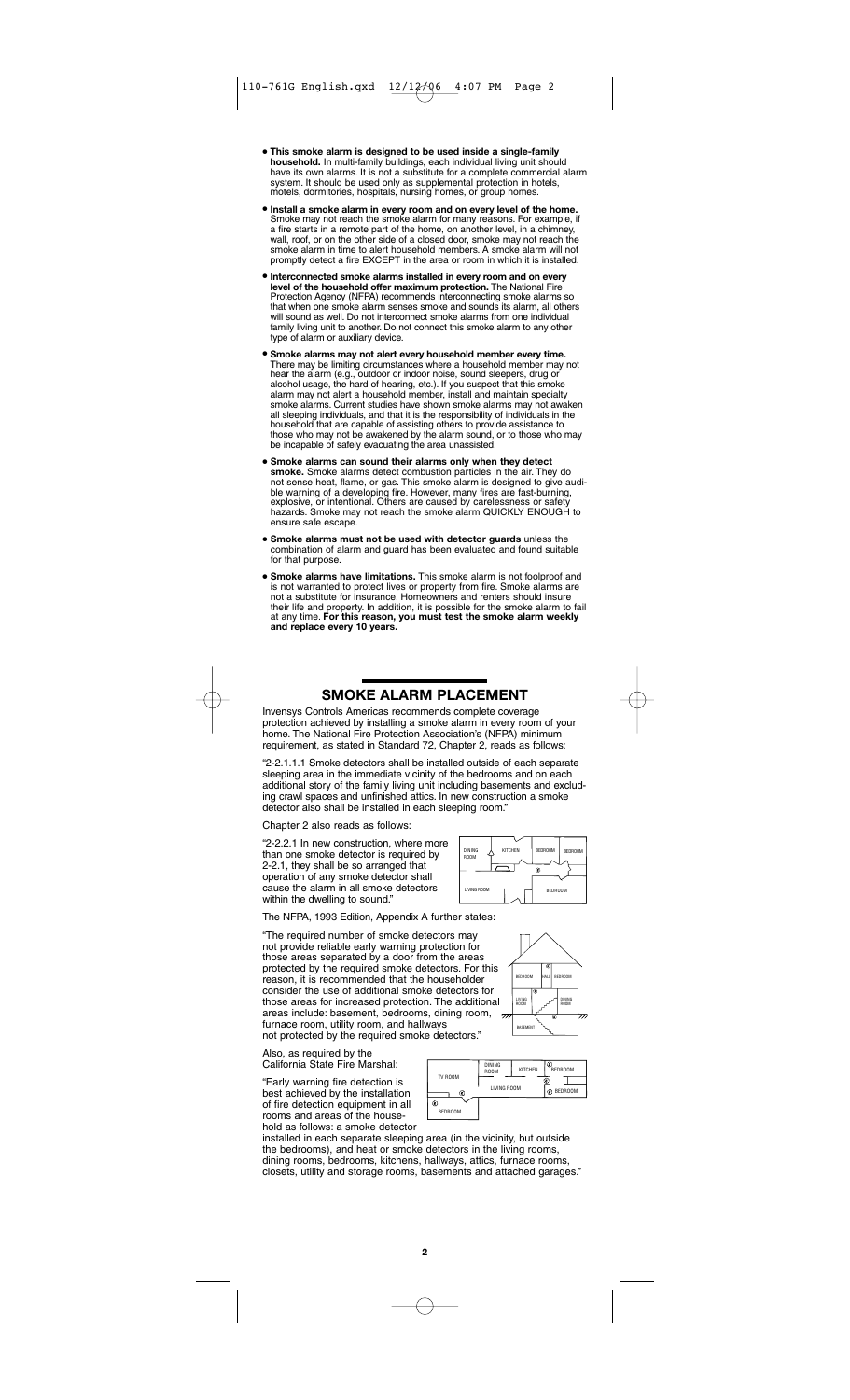- **This smoke alarm is designed to be used inside a single-family household.** In multi-family buildings, each individual living unit should have its own alarms. It is not a substitute for a complete commercial alarm system. It should be used only as supplemental protection in hotels, otels, dormitories, hospitals, nursing homes, or group homes
- **Install a smoke alarm in every room and on every level of the home.** Smoke may not reach the smoke alarm for many reasons. For example, if a fire starts in a remote part of the home, on another level, in a chimney,<br>wall, roof, or on the other side of a closed door, smoke may not reach the<br>smoke alarm in time to alert household members. A smoke alarm will not<br>
- **Interconnected smoke alarms installed in every room and on every level of the household offer maximum protection.** The National Fire Protection Agency (NFPA) recommends interconnecting smoke alarms so that when one smoke alarm senses smoke and sounds its alarm, all others will sound as well. Do not interconnect smoke alarms from one individual family living unit to another. Do not connect this smoke alarm to any other type of alarm or auxiliary device.
- **Smoke alarms may not alert every household member every time.**  There may be limiting circumstances where a household member may not hear the alarm (e.g., outdoor or indoor noise, sound sleepers, drug or alcohol usage, the hard of hearing, etc.). If you suspect that this smoke alarm may not alert a household member, install and maintain specialty smoke alarms. Current studies have shown smoke alarms may not awaken all sleeping individuals, and that it is the responsibility of individuals in the household that are capable of assisting others to provide assistance to those who may not be awakened by the alarm sound, or to those who may be incapable of safely evacuating the area unassisted.
- **Smoke alarms can sound their alarms only when they detect smoke.** Smoke alarms detect combustion particles in the air. They do not sense heat, flame, or gas. This smoke alarm is designed to give audible warning of a developing fire. However, many fires are fast-burning, explosive, or intentional. Others are caused by carelessness or safety hazards. Smoke may not reach the smoke alarm QUICKLY ENOUGH to ensure safe escape.
- **Smoke alarms must not be used with detector guards** unless the combination of alarm and guard has been evaluated and found suitable for that purpose.
- **Smoke alarms have limitations.** This smoke alarm is not foolproof and is not warranted to protect lives or property from fire. Smoke alarms are is not warranted to protect lives or property from fire. Smoke alarms are not a substitute for insurance. Homeowners and renters should insure their life and property. In addition, it is possible for the smoke alarm to fail at any time. **For this reason, you must test the smoke alarm weekly and replace every 10 years.**

# **SMOKE ALARM PLACEMENT**

Invensys Controls Americas recommends complete coverage protection achieved by installing a smoke alarm in every room of your home. The National Fire Protection Association's (NFPA) minimum requirement, as stated in Standard 72, Chapter 2, reads as follows:

"2-2.1.1.1 Smoke detectors shall be installed outside of each separate sleeping area in the immediate vicinity of the bedrooms and on each additional story of the family living unit including basements and excluding crawl spaces and unfinished attics. In new construction a smoke detector also shall be installed in each sleeping room.

Chapter 2 also reads as follows:

"2-2.2.1 In new construction, where more than one smoke detector is required by 2-2.1, they shall be so arranged that operation of any smoke detector shall cause the alarm in all smoke detectors within the dwelling to sound.

The NFPA, 1993 Edition, Appendix A further states:

"The required number of smoke detectors may not provide reliable early warning protection for those areas separated by a door from the areas protected by the required smoke detectors. For this reason, it is recommended that the householder consider the use of additional smoke detectors for those areas for increased protection. The additional areas include: basement, bedrooms, dining room, furnace room, utility room, and hallways not protected by the required smoke detectors."

Also, as required by the California State Fire Marshal:

"Early warning fire detection is best achieved by the installation of fire detection equipment in all rooms and areas of the household as follows: a smoke detector



BEDROOM BEDROOM



DINING A KITCHEN ROOM

LIVING ROOM **I Finally** BEDROOM

installed in each separate sleeping area (in the vicinity, but outside the bedrooms), and heat or smoke detectors in the living rooms, dining rooms, bedrooms, kitchens, hallways, attics, furnace rooms, closets, utility and storage rooms, basements and attached garages."

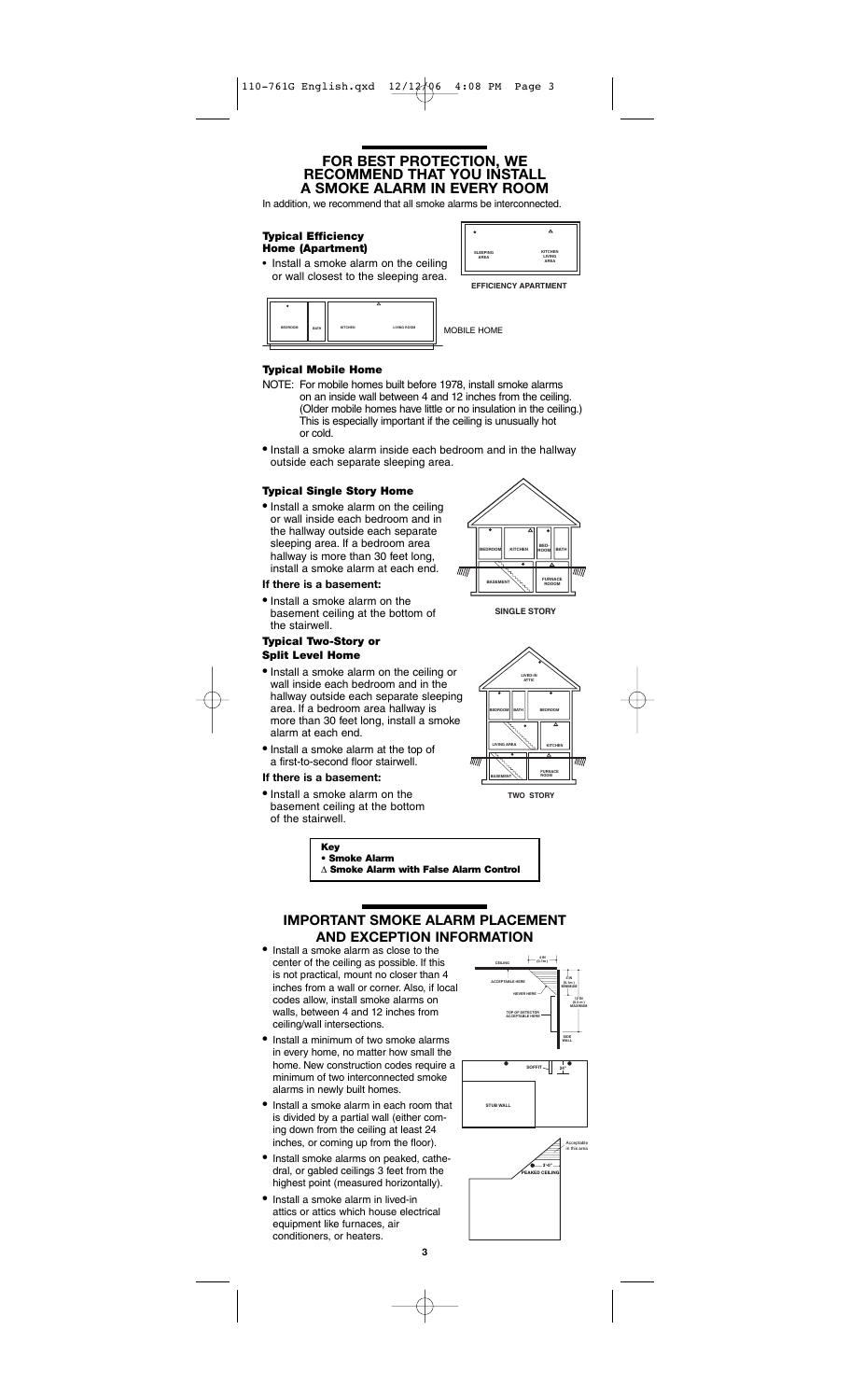### **FOR BEST PROTECTION, WE RECOMMEND THAT YOU INSTALL A SMOKE ALARM IN EVERY ROOM**

In addition, we recommend that all smoke alarms be interconnected.

#### **Typical Efficiency Home (Apartment)**

• Install a smoke alarm on the ceiling or wall closest to the sleeping area.





**EFFICIENCY APARTMENT**

**BATHELIG ROOME** 

### **Typical Mobile Home**

- NOTE: For mobile homes built before 1978, install smoke alarms on an inside wall between 4 and 12 inches from the ceiling. (Older mobile homes have little or no insulation in the ceiling.) This is especially important if the ceiling is unusually hot or cold.
- Install a smoke alarm inside each bedroom and in the hallway outside each separate sleeping area.

### **Typical Single Story Home**

• Install a smoke alarm on the ceiling or wall inside each bedroom and in the hallway outside each separate sleeping area. If a bedroom area hallway is more than 30 feet long, install a smoke alarm at each end.

### **If there is a basement:**

• Install a smoke alarm on the basement ceiling at the bottom of the stairwell.

#### **Typical Two-Story or Split Level Home**

- Install a smoke alarm on the ceiling or wall inside each bedroom and in the hallway outside each separate sleeping area. If a bedroom area hallway is more than 30 feet long, install a smoke alarm at each end.
- Install a smoke alarm at the top of a first-to-second floor stairwell.

### **If there is a basement:**

• Install a smoke alarm on the basement ceiling at the bottom of the stairwell.



**SINGLE STORY**



**TWO STORY**



# **IMPORTANT SMOKE ALARM PLACEMENT AND EXCEPTION INFORMATION**<br>• Install a smoke alarm as close to the

- center of the ceiling as possible. If this is not practical, mount no closer than 4 inches from a wall or corner. Also, if local codes allow, install smoke alarms on walls, between 4 and 12 inches from ceiling/wall intersections.
- Install a minimum of two smoke alarms in every home, no matter how small the home. New construction codes require a minimum of two interconnected smoke alarms in newly built homes.
- Install a smoke alarm in each room that is divided by a partial wall (either coming down from the ceiling at least 24 inches, or coming up from the floor).
- Install smoke alarms on peaked, cathedral, or gabled ceilings 3 feet from the highest point (measured horizontally).
- Install a smoke alarm in lived-in attics or attics which house electrical equipment like furnaces, air conditioners, or heaters.



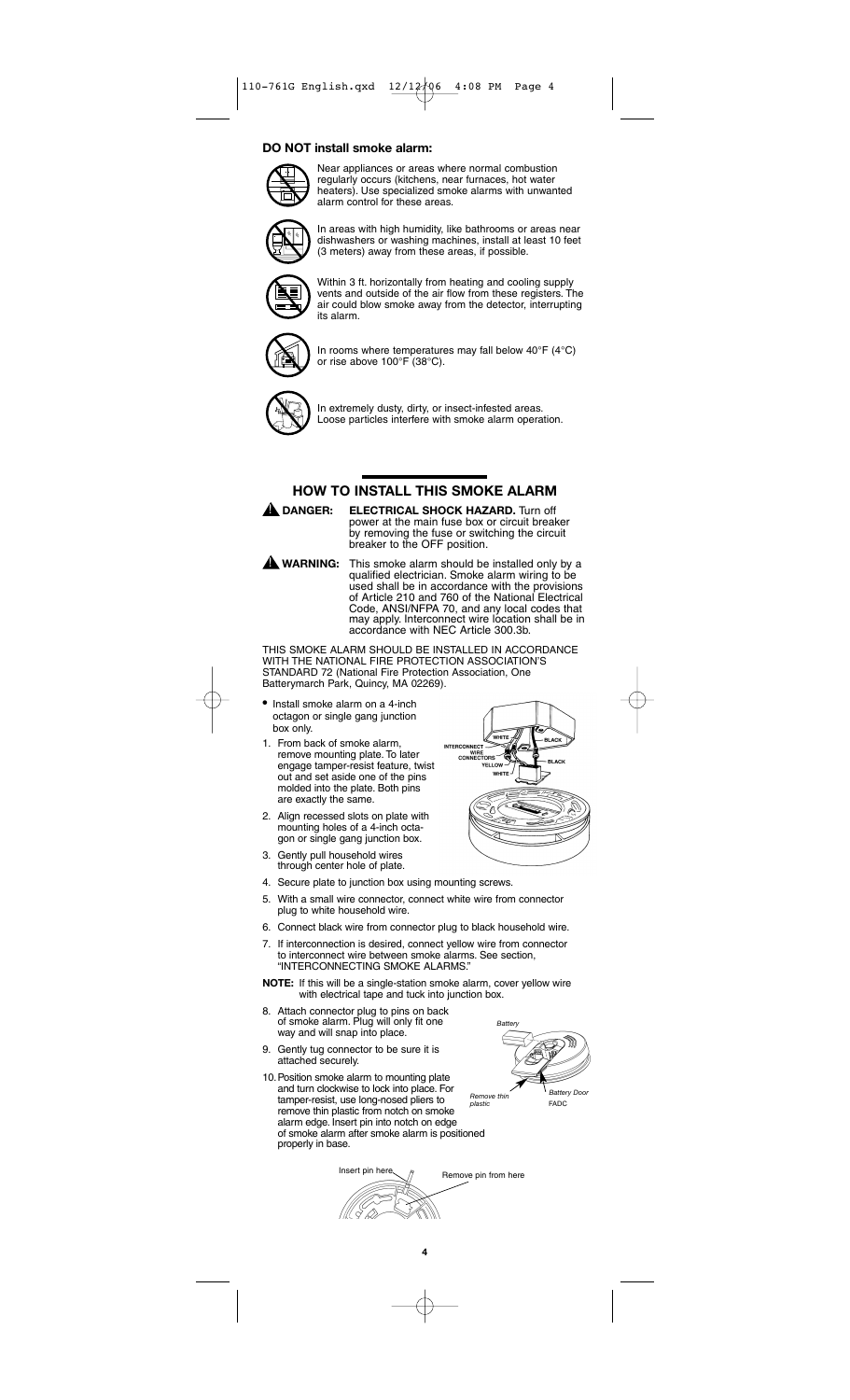#### **DO NOT install smoke alarm:**



Near appliances or areas where normal combustion regularly occurs (kitchens, near furnaces, hot water heaters). Use specialized smoke alarms with unwanted alarm control for these areas.

$$
\left(\begin{matrix} \mathbb{N} \\ \mathbb{N} \end{matrix}\right)
$$

In areas with high humidity, like bathrooms or areas near dishwashers or washing machines, install at least 10 feet (3 meters) away from these areas, if possible.



Within 3 ft. horizontally from heating and cooling supply vents and outside of the air flow from these registers. The air could blow smoke away from the detector, interrupting its alarm.



In rooms where temperatures may fall below 40°F (4°C) or rise above 100°F (38°C).



In extremely dusty, dirty, or insect-infested areas. Loose particles interfere with smoke alarm operation.

## **HOW TO INSTALL THIS SMOKE ALARM**



**ELECTRICAL SHOCK HAZARD.** Turn off power at the main fuse box or circuit breaker by removing the fuse or switching the circuit breaker to the OFF position.

This smoke alarm should be installed only by a qualified electrician. Smoke alarm wiring to be used shall be in accordance with the provisions of Article 210 and 760 of the National Electrical Code, ANSI/NFPA 70, and any local codes that may apply. Interconnect wire location shall be in accordance with NEC Article 300.3b.  $\mathbf A$  warning:

THIS SMOKE ALARM SHOULD BE INSTALLED IN ACCORDANCE WITH THE NATIONAL FIRE PROTECTION ASSOCIATION'S STANDARD 72 (National Fire Protection Association, One Batterymarch Park, Quincy, MA 02269).

- Install smoke alarm on a 4-inch octagon or single gang junction box only.
- 1. From back of smoke alarm, remove mounting plate. To later engage tamper-resist feature, twist out and set aside one of the pins molded into the plate. Both pins are exactly the same.
- 2. Align recessed slots on plate with mounting holes of a 4-inch octagon or single gang junction box.
- 3. Gently pull household wires through center hole of plate.
- 4. Secure plate to junction box using mounting screws.
- 5. With a small wire connector, connect white wire from connector plug to white household wire.
- 6. Connect black wire from connector plug to black household wire.
- 7. If interconnection is desired, connect yellow wire from connector to interconnect wire between smoke alarms. See section, "INTERCONNECTING SMOKE ALARMS."
- **NOTE:** If this will be a single-station smoke alarm, cover yellow wire with electrical tape and tuck into junction box.
- 8. Attach connector plug to pins on back of smoke alarm. Plug will only fit one way and will snap into place.
- 9. Gently tug connector to be sure it is attached securely.
- 10.Position smoke alarm to mounting plate and turn clockwise to lock into place. For tamper-resist, use long-nosed pliers to remove thin plastic from notch on smoke alarm edge. Insert pin into notch on edge of smoke alarm after smoke alarm is positioned properly in base.

///L ( Q)



Insert pin here  $\bigwedge$  Remove pin from here

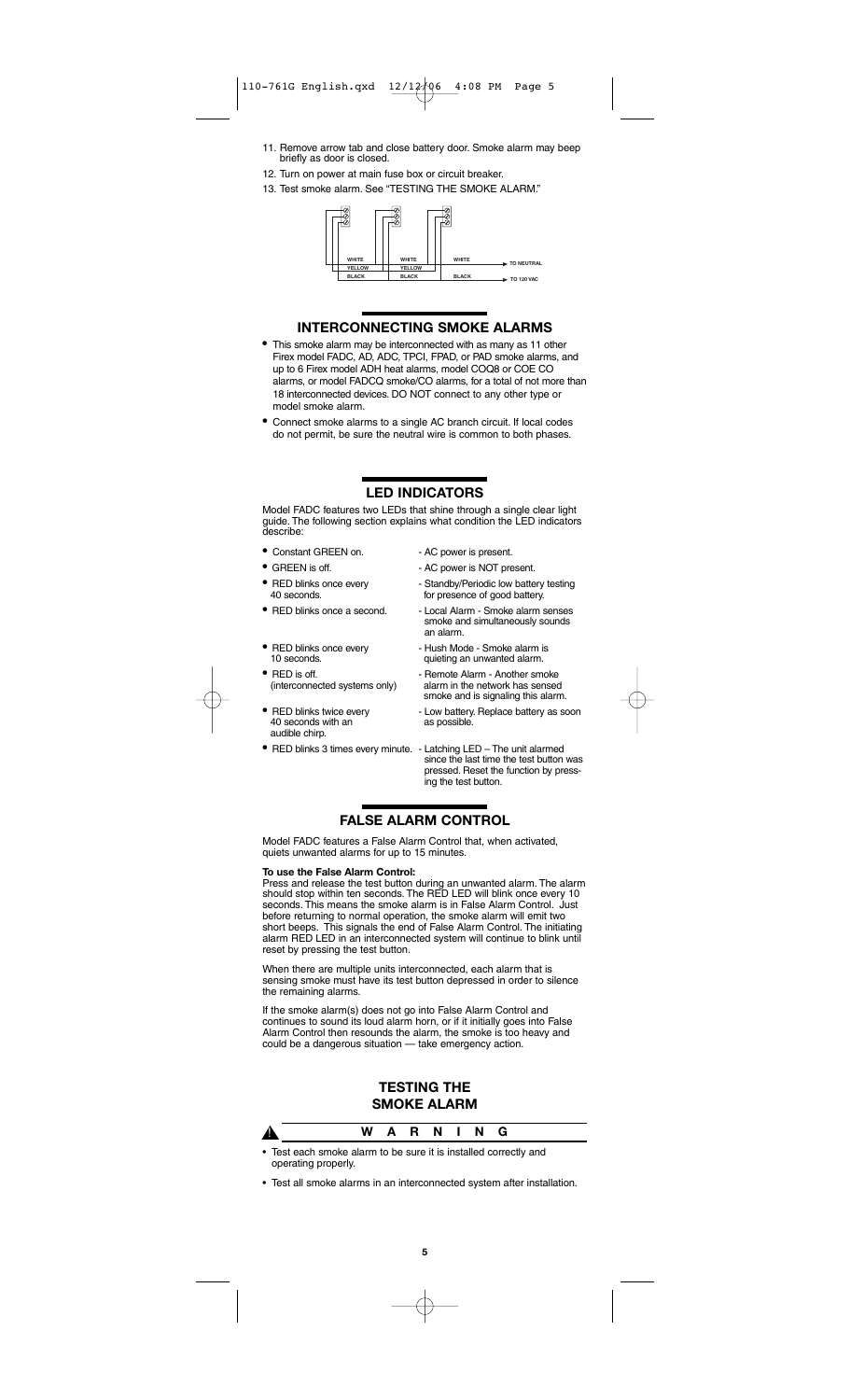- 11. Remove arrow tab and close battery door. Smoke alarm may beep briefly as door is closed.
- 12. Turn on power at main fuse box or circuit breaker.
- 13. Test smoke alarm. See "TESTING THE SMOKE ALARM."



### **INTERCONNECTING SMOKE ALARMS**

- This smoke alarm may be interconnected with as many as 11 other Firex model FADC, AD, ADC, TPCI, FPAD, or PAD smoke alarms, and up to 6 Firex model ADH heat alarms, model COQ8 or COE CO alarms, or model FADCQ smoke/CO alarms, for a total of not more than 18 interconnected devices. DO NOT connect to any other type or model smoke alarm.
- Connect smoke alarms to a single AC branch circuit. If local codes do not permit, be sure the neutral wire is common to both phases.

# **LED INDICATORS**

Model FADC features two LEDs that shine through a single clear light guide. The following section explains what condition the LED indicators describe:

- Constant GREEN on. AC power is present.
- 
- 
- 
- 
- 
- 40 seconds with an as possible. audible chirp.
- 
- 
- GREEN is off.  $\overline{\phantom{a}}$  AC power is NOT present.
- RED blinks once every Standby/Periodic low battery testing<br>40 seconds. tor presence of good battery. for presence of good battery.
- RED blinks once a second. Local Alarm Smoke alarm senses smoke and simultaneously sounds an alarm.
- RED blinks once every  **Hush Mode Smoke alarm is**<br>10 seconds. **aujeting an unwanted alarm**. quieting an unwanted alarm.
- RED is off. Remote Alarm Another smoke alarm in the network has sensed smoke and is signaling this alarm.
	- RED blinks twice every  **Low battery. Replace battery as soon**<br>40 seconds with an **contained as possible**.
- RED blinks 3 times every minute. Latching LED The unit alarmed since the last time the test button was pressed. Reset the function by pressing the test button.

# **FALSE ALARM CONTROL**

Model FADC features a False Alarm Control that, when activated, quiets unwanted alarms for up to 15 minutes.

#### **To use the False Alarm Control:**

Press and release the test button during an unwanted alarm. The alarm should stop within ten seconds. The RED LED will blink once every 10 seconds. This means the smoke alarm is in False Alarm Control. Just before returning to normal operation, the smoke alarm will emit two short beeps. This signals the end of False Alarm Control. The initiating alarm RED LED in an interconnected system will continue to blink until reset by pressing the test button.

When there are multiple units interconnected, each alarm that is sensing smoke must have its test button depressed in order to silence the remaining alarms.

If the smoke alarm(s) does not go into False Alarm Control and continues to sound its loud alarm horn, or if it initially goes into False Alarm Control then resounds the alarm, the smoke is too heavy and could be a dangerous situation — take emergency action.

### **TESTING THE SMOKE ALARM**

|                                                                       |  | W A R N I N G |  |  |
|-----------------------------------------------------------------------|--|---------------|--|--|
| . Toot a sale arealys alone to be a use it is installed as weathy and |  |               |  |  |

• Test each smoke alarm to be sure it is installed correctly and operating properly.

• Test all smoke alarms in an interconnected system after installation.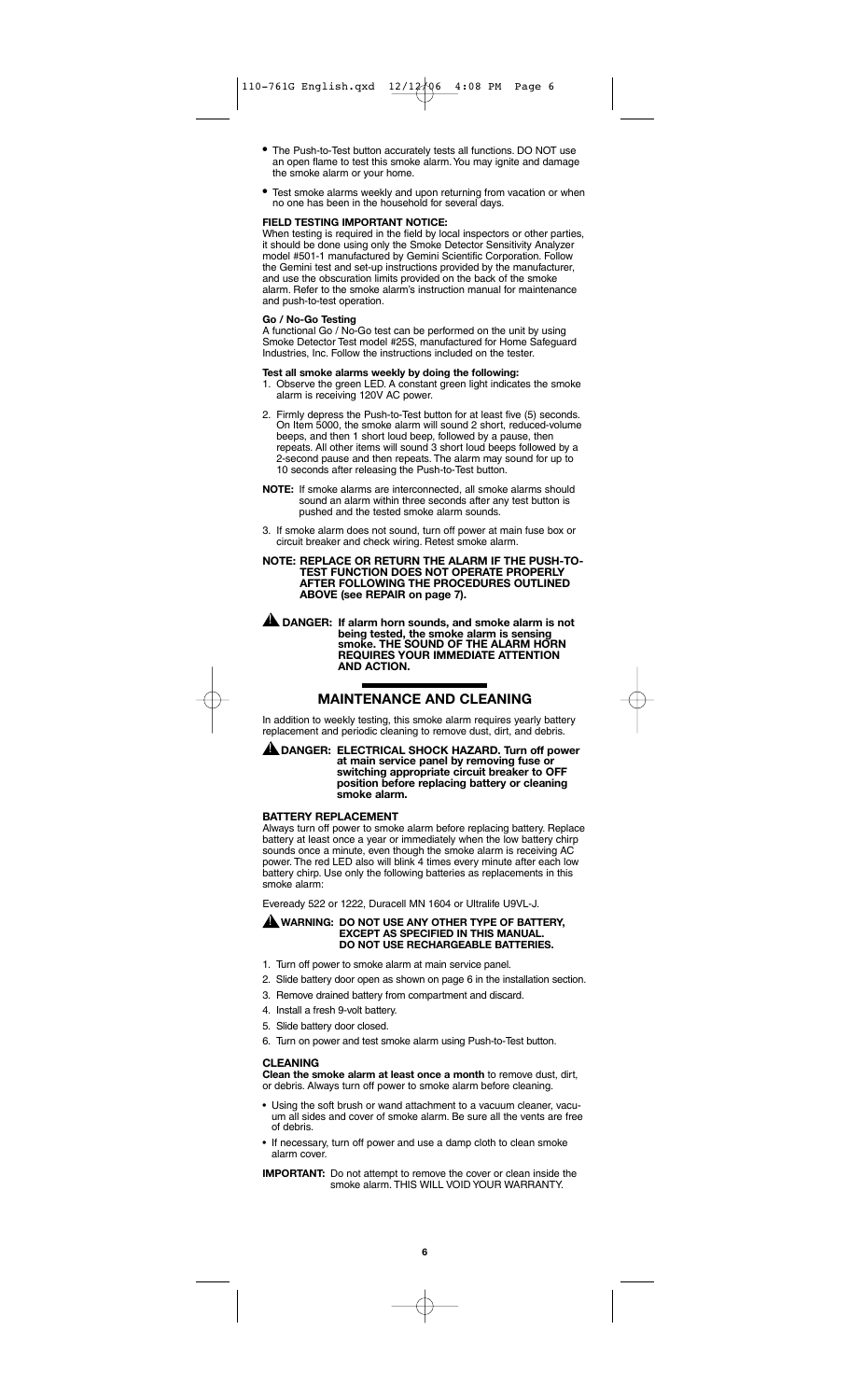- The Push-to-Test button accurately tests all functions. DO NOT use an open flame to test this smoke alarm.You may ignite and damage the smoke alarm or your home.
- Test smoke alarms weekly and upon returning from vacation or when no one has been in the household for several days.

#### **FIELD TESTING IMPORTANT NOTICE:**

When testing is required in the field by local inspectors or other parties, it should be done using only the Smoke Detector Sensitivity Analyzer model #501-1 manufactured by Gemini Scientific Corporation. Follow the Gemini test and set-up instructions provided by the manufacturer, and use the obscuration limits provided on the back of the smoke alarm. Refer to the smoke alarm's instruction manual for maintenance and push-to-test operation.

#### **Go / No-Go Testing**

A functional Go / No-Go test can be performed on the unit by using Smoke Detector Test model #25S, manufactured for Home Safeguard Industries, Inc. Follow the instructions included on the tester.

#### **Test all smoke alarms weekly by doing the following:**

- 1. Observe the green LED. A constant green light indicates the smoke alarm is receiving 120V AC power.
- 2. Firmly depress the Push-to-Test button for at least five (5) seconds. On Item 5000, the smoke alarm will sound 2 short, reduced-volume beeps, and then 1 short loud beep, followed by a pause, then repeats. All other items will sound 3 short loud beeps followed by a 2-second pause and then repeats. The alarm may sound for up to 10 seconds after releasing the Push-to-Test button.
- **NOTE:** If smoke alarms are interconnected, all smoke alarms should sound an alarm within three seconds after any test button is pushed and the tested smoke alarm sounds.
- 3. If smoke alarm does not sound, turn off power at main fuse box or circuit breaker and check wiring. Retest smoke alarm.

#### **NOTE: REPLACE OR RETURN THE ALARM IF THE PUSH-TO-TEST FUNCTION DOES NOT OPERATE PROPERLY AFTER FOLLOWING THE PROCEDURES OUTLINED ABOVE (see REPAIR on page 7).**

**DANGER: If alarm horn sounds, and smoke alarm is not being tested, the smoke alarm is sensing smoke. THE SOUND OF THE ALARM HORN REQUIRES YOUR IMMEDIATE ATTENTION AND ACTION.**  !

# **MAINTENANCE AND CLEANING**

In addition to weekly testing, this smoke alarm requires yearly battery replacement and periodic cleaning to remove dust, dirt, and debris.

#### **DANGER: ELECTRICAL SHOCK HAZARD. Turn off power** ! **at main service panel by removing fuse or switching appropriate circuit breaker to OFF position before replacing battery or cleaning smoke alarm.**

#### **BATTERY REPLACEMENT**

Always turn off power to smoke alarm before replacing battery. Replace battery at least once a year or immediately when the low battery chirp sounds once a minute, even though the smoke alarm is receiving AC power. The red LED also will blink 4 times every minute after each low battery chirp. Use only the following batteries as replacements in this smoke alarm:

Eveready 522 or 1222, Duracell MN 1604 or Ultralife U9VL-J.

#### **WARNING: DO NOT USE ANY OTHER TYPE OF BATTERY, EXCEPT AS SPECIFIED IN THIS MANUAL. DO NOT USE RECHARGEABLE BATTERIES.** !

- 1. Turn off power to smoke alarm at main service panel.
- 2. Slide battery door open as shown on page 6 in the installation section.
- 3. Remove drained battery from compartment and discard.
- 4. Install a fresh 9-volt battery.
- 5. Slide battery door closed.
- 6. Turn on power and test smoke alarm using Push-to-Test button.

### **CLEANING**

**Clean the smoke alarm at least once a month** to remove dust, dirt, or debris. Always turn off power to smoke alarm before cleaning.

- Using the soft brush or wand attachment to a vacuum cleaner, vacuum all sides and cover of smoke alarm. Be sure all the vents are free of debris.
- If necessary, turn off power and use a damp cloth to clean smoke alarm cover.

**IMPORTANT:** Do not attempt to remove the cover or clean inside the smoke alarm. THIS WILL VOID YOUR WARRANTY.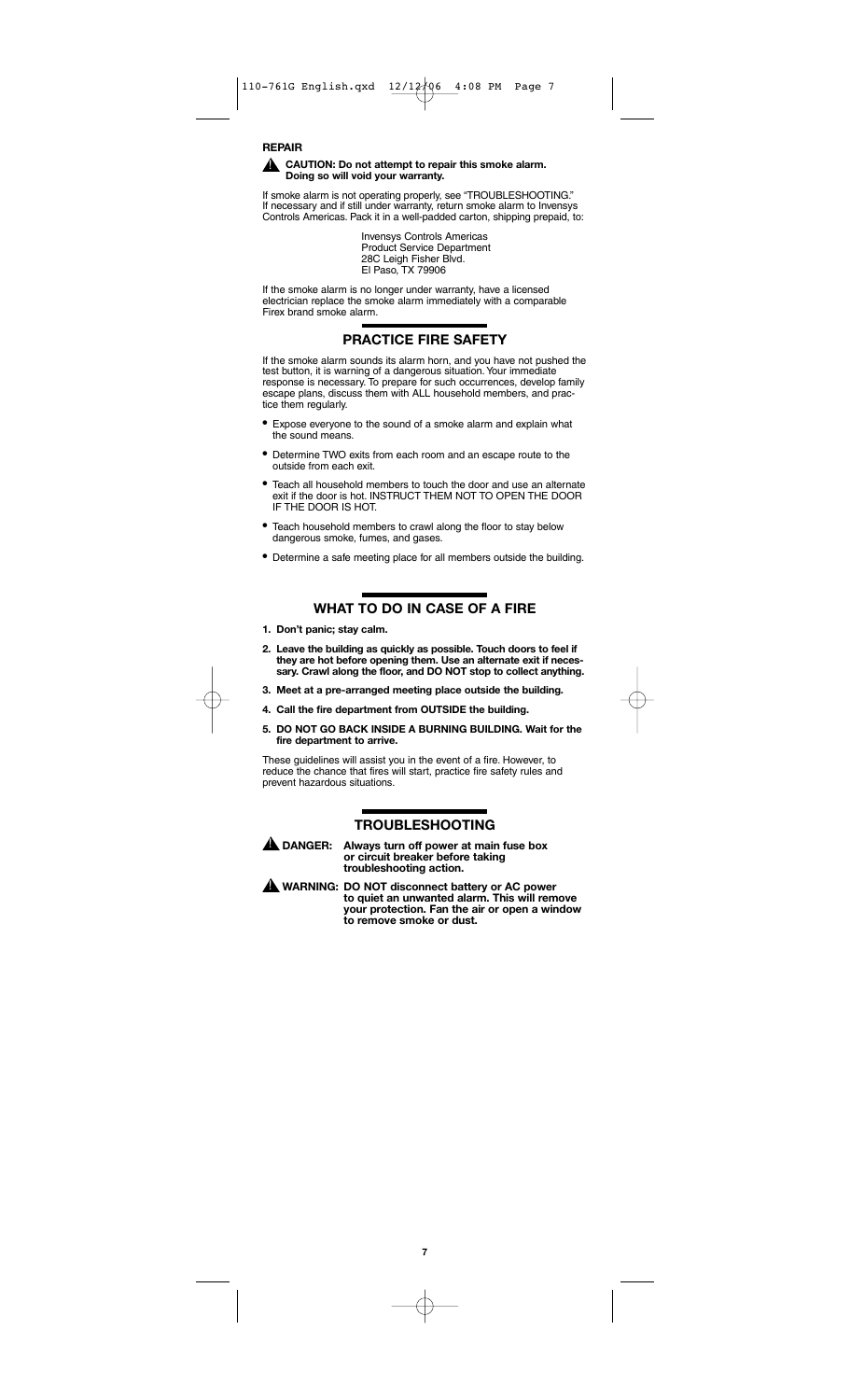#### **REPAIR CAUTION: Do not attempt to repair this smoke alarm. Doing so will void your warranty.**

If smoke alarm is not operating properly, see "TROUBLESHOOTING." If necessary and if still under warranty, return smoke alarm to Invensys Controls Americas. Pack it in a well-padded carton, shipping prepaid, to:

> Invensys Controls Americas Product Service Department 28C Leigh Fisher Blvd. El Paso, TX 79906

If the smoke alarm is no longer under warranty, have a licensed electrician replace the smoke alarm immediately with a comparable Firex brand smoke alarm.

# **PRACTICE FIRE SAFETY**

If the smoke alarm sounds its alarm horn, and you have not pushed the test button, it is warning of a dangerous situation.Your immediate response is necessary. To prepare for such occurrences, develop family response is necessary. To prepare for such occurrences, develop famescape plans, discuss them with ALL household members, and practice them regularly.

- Expose everyone to the sound of a smoke alarm and explain what the sound means.
- Determine TWO exits from each room and an escape route to the outside from each exit.
- Teach all household members to touch the door and use an alternate exit if the door is hot. INSTRUCT THEM NOT TO OPEN THE DOOR IF THE DOOR IS HOT.
- Teach household members to crawl along the floor to stay below dangerous smoke, fumes, and gases.
- Determine a safe meeting place for all members outside the building.

# **WHAT TO DO IN CASE OF A FIRE**

- **1. Don't panic; stay calm.**
- **2. Leave the building as quickly as possible. Touch doors to feel if they are hot before opening them. Use an alternate exit if necessary. Crawl along the floor, and DO NOT stop to collect anything.**
- **3. Meet at a pre-arranged meeting place outside the building.**
- **4. Call the fire department from OUTSIDE the building.**
- **5. DO NOT GO BACK INSIDE A BURNING BUILDING. Wait for the fire department to arrive.**

These guidelines will assist you in the event of a fire. However, to reduce the chance that fires will start, practice fire safety rules and prevent hazardous situations.

### **TROUBLESHOOTING**



Always turn off power at main fuse box **or circuit breaker before taking troubleshooting action.**

**WARNING: DO NOT disconnect battery or AC power to quiet an unwanted alarm. This will remove your protection. Fan the air or open a window to remove smoke or dust.** !